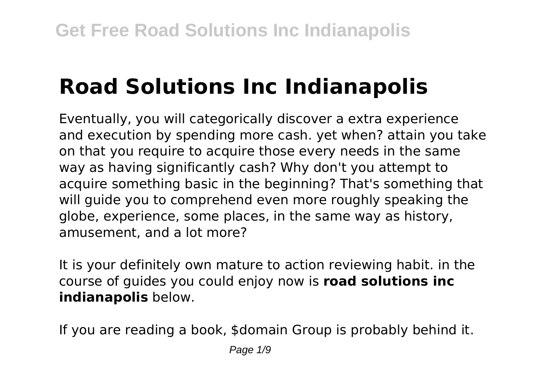# **Road Solutions Inc Indianapolis**

Eventually, you will categorically discover a extra experience and execution by spending more cash. yet when? attain you take on that you require to acquire those every needs in the same way as having significantly cash? Why don't you attempt to acquire something basic in the beginning? That's something that will guide you to comprehend even more roughly speaking the globe, experience, some places, in the same way as history, amusement, and a lot more?

It is your definitely own mature to action reviewing habit. in the course of guides you could enjoy now is **road solutions inc indianapolis** below.

If you are reading a book, \$domain Group is probably behind it.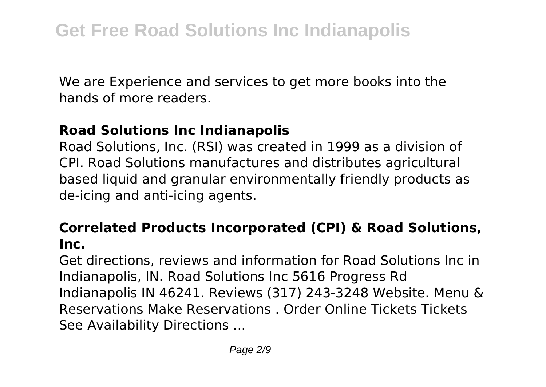We are Experience and services to get more books into the hands of more readers.

### **Road Solutions Inc Indianapolis**

Road Solutions, Inc. (RSI) was created in 1999 as a division of CPI. Road Solutions manufactures and distributes agricultural based liquid and granular environmentally friendly products as de-icing and anti-icing agents.

### **Correlated Products Incorporated (CPI) & Road Solutions, Inc.**

Get directions, reviews and information for Road Solutions Inc in Indianapolis, IN. Road Solutions Inc 5616 Progress Rd Indianapolis IN 46241. Reviews (317) 243-3248 Website. Menu & Reservations Make Reservations . Order Online Tickets Tickets See Availability Directions ...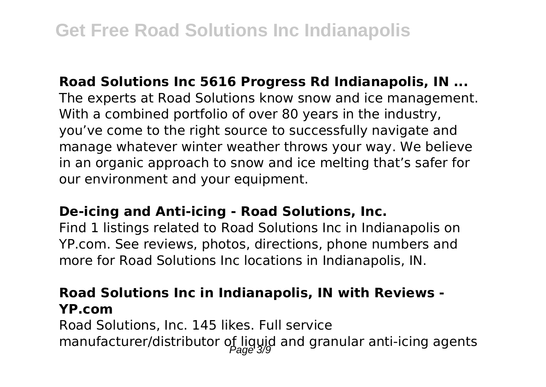**Road Solutions Inc 5616 Progress Rd Indianapolis, IN ...** The experts at Road Solutions know snow and ice management. With a combined portfolio of over 80 years in the industry, you've come to the right source to successfully navigate and manage whatever winter weather throws your way. We believe in an organic approach to snow and ice melting that's safer for our environment and your equipment.

### **De-icing and Anti-icing - Road Solutions, Inc.**

Find 1 listings related to Road Solutions Inc in Indianapolis on YP.com. See reviews, photos, directions, phone numbers and more for Road Solutions Inc locations in Indianapolis, IN.

### **Road Solutions Inc in Indianapolis, IN with Reviews - YP.com**

Road Solutions, Inc. 145 likes. Full service manufacturer/distributor of liguid and granular anti-icing agents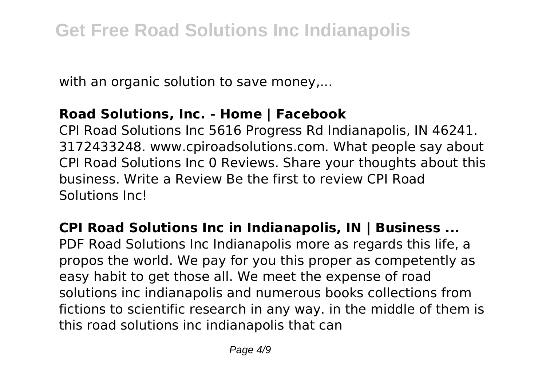with an organic solution to save money,...

### **Road Solutions, Inc. - Home | Facebook**

CPI Road Solutions Inc 5616 Progress Rd Indianapolis, IN 46241. 3172433248. www.cpiroadsolutions.com. What people say about CPI Road Solutions Inc 0 Reviews. Share your thoughts about this business. Write a Review Be the first to review CPI Road Solutions Inc!

**CPI Road Solutions Inc in Indianapolis, IN | Business ...** PDF Road Solutions Inc Indianapolis more as regards this life. a propos the world. We pay for you this proper as competently as easy habit to get those all. We meet the expense of road solutions inc indianapolis and numerous books collections from fictions to scientific research in any way. in the middle of them is this road solutions inc indianapolis that can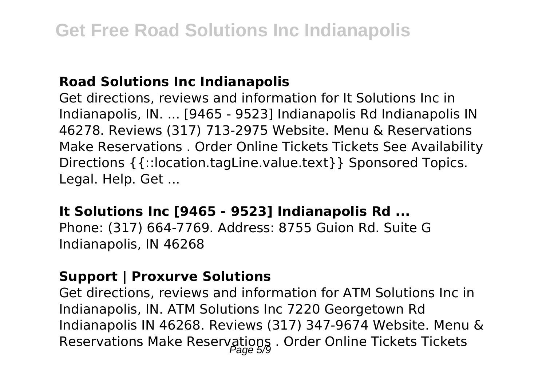### **Road Solutions Inc Indianapolis**

Get directions, reviews and information for It Solutions Inc in Indianapolis, IN. ... [9465 - 9523] Indianapolis Rd Indianapolis IN 46278. Reviews (317) 713-2975 Website. Menu & Reservations Make Reservations . Order Online Tickets Tickets See Availability Directions {{::location.tagLine.value.text}} Sponsored Topics. Legal. Help. Get ...

### **It Solutions Inc [9465 - 9523] Indianapolis Rd ...**

Phone: (317) 664-7769. Address: 8755 Guion Rd. Suite G Indianapolis, IN 46268

### **Support | Proxurve Solutions**

Get directions, reviews and information for ATM Solutions Inc in Indianapolis, IN. ATM Solutions Inc 7220 Georgetown Rd Indianapolis IN 46268. Reviews (317) 347-9674 Website. Menu & Reservations Make Reservations . Order Online Tickets Tickets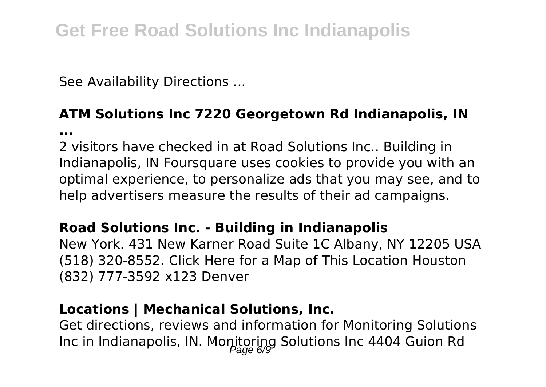See Availability Directions ...

**...**

## **ATM Solutions Inc 7220 Georgetown Rd Indianapolis, IN**

2 visitors have checked in at Road Solutions Inc.. Building in Indianapolis, IN Foursquare uses cookies to provide you with an optimal experience, to personalize ads that you may see, and to help advertisers measure the results of their ad campaigns.

### **Road Solutions Inc. - Building in Indianapolis**

New York. 431 New Karner Road Suite 1C Albany, NY 12205 USA (518) 320-8552. Click Here for a Map of This Location Houston (832) 777-3592 x123 Denver

### **Locations | Mechanical Solutions, Inc.**

Get directions, reviews and information for Monitoring Solutions Inc in Indianapolis, IN. Monitoring Solutions Inc 4404 Guion Rd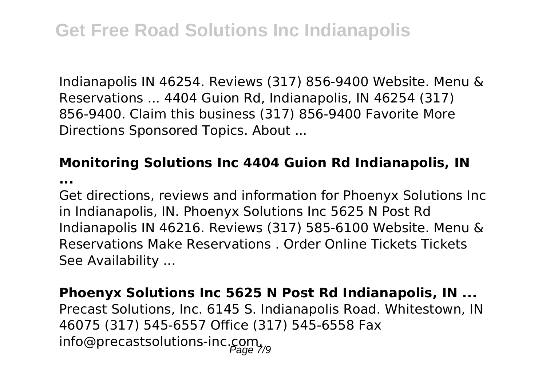Indianapolis IN 46254. Reviews (317) 856-9400 Website. Menu & Reservations ... 4404 Guion Rd, Indianapolis, IN 46254 (317) 856-9400. Claim this business (317) 856-9400 Favorite More Directions Sponsored Topics. About ...

### **Monitoring Solutions Inc 4404 Guion Rd Indianapolis, IN**

**...**

Get directions, reviews and information for Phoenyx Solutions Inc in Indianapolis, IN. Phoenyx Solutions Inc 5625 N Post Rd Indianapolis IN 46216. Reviews (317) 585-6100 Website. Menu & Reservations Make Reservations . Order Online Tickets Tickets See Availability ...

**Phoenyx Solutions Inc 5625 N Post Rd Indianapolis, IN ...** Precast Solutions, Inc. 6145 S. Indianapolis Road. Whitestown, IN 46075 (317) 545-6557 Office (317) 545-6558 Fax info@precastsolutions-inc.com.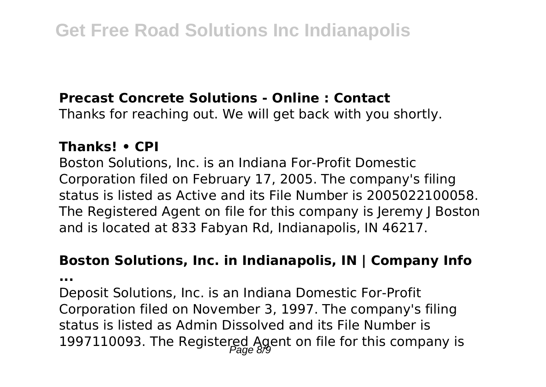### **Precast Concrete Solutions - Online : Contact**

Thanks for reaching out. We will get back with you shortly.

### **Thanks! • CPI**

Boston Solutions, Inc. is an Indiana For-Profit Domestic Corporation filed on February 17, 2005. The company's filing status is listed as Active and its File Number is 2005022100058. The Registered Agent on file for this company is Jeremy J Boston and is located at 833 Fabyan Rd, Indianapolis, IN 46217.

### **Boston Solutions, Inc. in Indianapolis, IN | Company Info**

**...**

Deposit Solutions, Inc. is an Indiana Domestic For-Profit Corporation filed on November 3, 1997. The company's filing status is listed as Admin Dissolved and its File Number is 1997110093. The Registered Agent on file for this company is